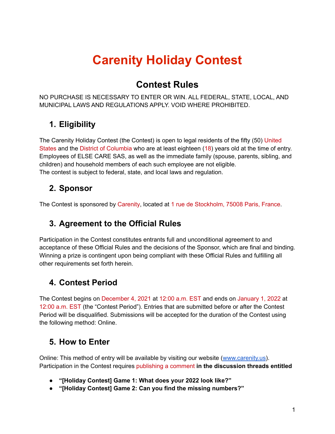# **Carenity Holiday Contest**

## **Contest Rules**

NO PURCHASE IS NECESSARY TO ENTER OR WIN. ALL FEDERAL, STATE, LOCAL, AND MUNICIPAL LAWS AND REGULATIONS APPLY. VOID WHERE PROHIBITED.

# **1. Eligibility**

The Carenity Holiday Contest (the Contest) is open to legal residents of the fifty (50) United States and the District of Columbia who are at least eighteen (18) years old at the time of entry. Employees of ELSE CARE SAS, as well as the immediate family (spouse, parents, sibling, and children) and household members of each such employee are not eligible. The contest is subject to federal, state, and local laws and regulation.

### **2. Sponsor**

The Contest is sponsored by Carenity, located at 1 rue de Stockholm, 75008 Paris, France.

## **3. Agreement to the Official Rules**

Participation in the Contest constitutes entrants full and unconditional agreement to and acceptance of these Official Rules and the decisions of the Sponsor, which are final and binding. Winning a prize is contingent upon being compliant with these Official Rules and fulfilling all other requirements set forth herein.

## **4. Contest Period**

The Contest begins on December 4, 2021 at 12:00 a.m. EST and ends on January 1, 2022 at 12:00 a.m. EST (the "Contest Period"). Entries that are submitted before or after the Contest Period will be disqualified. Submissions will be accepted for the duration of the Contest using the following method: Online.

## **5. How to Enter**

Online: This method of entry will be available by visiting our website [\(www.carenity.us](http://www.carenity.us)). Participation in the Contest requires publishing a comment **in the discussion threads entitled**

- **● "[Holiday Contest] Game 1: What does your 2022 look like?"**
- **● "[Holiday Contest] Game 2: Can you find the missing numbers?"**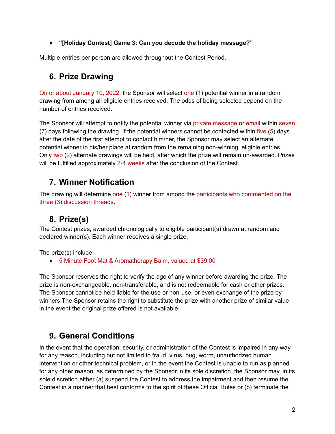**● "[Holiday Contest] Game 3: Can you decode the holiday message?"**

Multiple entries per person are allowed throughout the Contest Period.

#### **6. Prize Drawing**

On or about January 10, 2022, the Sponsor will select one (1) potential winner in a random drawing from among all eligible entries received. The odds of being selected depend on the number of entries received.

The Sponsor will attempt to notify the potential winner via private message or email within seven (7) days following the drawing. If the potential winners cannot be contacted within five (5) days after the date of the first attempt to contact him/her, the Sponsor may select an alternate potential winner in his/her place at random from the remaining non-winning, eligible entries. Only two (2) alternate drawings will be held, after which the prize will remain un-awarded. Prizes will be fulfilled approximately 2-4 weeks after the conclusion of the Contest.

#### **7. Winner Notification**

The drawing will determine one (1) winner from among the participants who commented on the three (3) discussion threads.

#### **8. Prize(s)**

The Contest prizes, awarded chronologically to eligible participant(s) drawn at random and declared winner(s). Each winner receives a single prize.

The prize(s) include:

● 5 Minute Foot Mat & Aromatherapy Balm, valued at \$39.00

The Sponsor reserves the right to verify the age of any winner before awarding the prize. The prize is non-exchangeable, non-transferable, and is not redeemable for cash or other prizes. The Sponsor cannot be held liable for the use or non-use, or even exchange of the prize by winners.The Sponsor retains the right to substitute the prize with another prize of similar value in the event the original prize offered is not available.

#### **9. General Conditions**

In the event that the operation, security, or administration of the Contest is impaired in any way for any reason, including but not limited to fraud, virus, bug, worm, unauthorized human intervention or other technical problem, or in the event the Contest is unable to run as planned for any other reason, as determined by the Sponsor in its sole discretion, the Sponsor may, in its sole discretion either (a) suspend the Contest to address the impairment and then resume the Contest in a manner that best conforms to the spirit of these Official Rules or (b) terminate the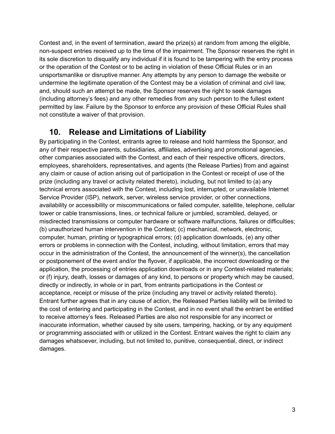Contest and, in the event of termination, award the prize(s) at random from among the eligible, non-suspect entries received up to the time of the impairment. The Sponsor reserves the right in its sole discretion to disqualify any individual if it is found to be tampering with the entry process or the operation of the Contest or to be acting in violation of these Official Rules or in an unsportsmanlike or disruptive manner. Any attempts by any person to damage the website or undermine the legitimate operation of the Contest may be a violation of criminal and civil law, and, should such an attempt be made, the Sponsor reserves the right to seek damages (including attorney's fees) and any other remedies from any such person to the fullest extent permitted by law. Failure by the Sponsor to enforce any provision of these Official Rules shall not constitute a waiver of that provision.

#### **10. Release and Limitations of Liability**

By participating in the Contest, entrants agree to release and hold harmless the Sponsor, and any of their respective parents, subsidiaries, affiliates, advertising and promotional agencies, other companies associated with the Contest, and each of their respective officers, directors, employees, shareholders, representatives, and agents (the Release Parties) from and against any claim or cause of action arising out of participation in the Contest or receipt of use of the prize (including any travel or activity related thereto), including, but not limited to (a) any technical errors associated with the Contest, including lost, interrupted, or unavailable Internet Service Provider (ISP), network, server, wireless service provider, or other connections, availability or accessibility or miscommunications or failed computer, satellite, telephone, cellular tower or cable transmissions, lines, or technical failure or jumbled, scrambled, delayed, or misdirected transmissions or computer hardware or software malfunctions, failures or difficulties; (b) unauthorized human intervention in the Contest; (c) mechanical, network, electronic, computer, human, printing or typographical errors; (d) application downloads, (e) any other errors or problems in connection with the Contest, including, without limitation, errors that may occur in the administration of the Contest, the announcement of the winner(s), the cancellation or postponement of the event and/or the flyover, if applicable, the incorrect downloading or the application, the processing of entries application downloads or in any Contest-related materials; or (f) injury, death, losses or damages of any kind, to persons or property which may be caused, directly or indirectly, in whole or in part, from entrants participations in the Contest or acceptance, receipt or misuse of the prize (including any travel or activity related thereto). Entrant further agrees that in any cause of action, the Released Parties liability will be limited to the cost of entering and participating in the Contest, and in no event shall the entrant be entitled to receive attorney's fees. Released Parties are also not responsible for any incorrect or inaccurate information, whether caused by site users, tampering, hacking, or by any equipment or programming associated with or utilized in the Contest. Entrant waives the right to claim any damages whatsoever, including, but not limited to, punitive, consequential, direct, or indirect damages.